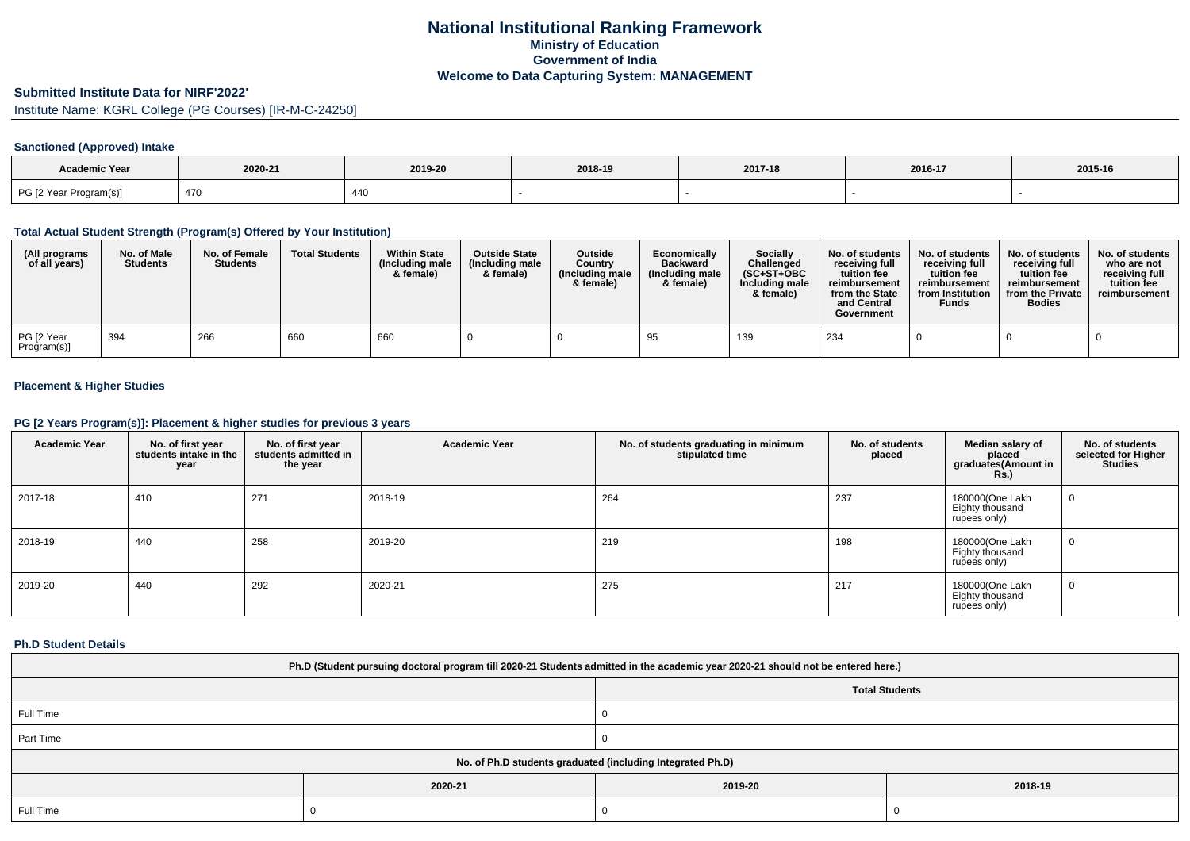# **National Institutional Ranking FrameworkMinistry of Education Government of IndiaWelcome to Data Capturing System: MANAGEMENT**

# **Submitted Institute Data for NIRF'2022'**

Institute Name: KGRL College (PG Courses) [IR-M-C-24250]

## **Sanctioned (Approved) Intake**

| Academic Year          |         |                      |         |         |         |         |
|------------------------|---------|----------------------|---------|---------|---------|---------|
|                        | 2020-21 | 2019-20              | 2018-19 | 2017-18 | 2016-17 | 2015-16 |
| PG [2 Year Program(s)] | 470     | $\Delta\Delta\Gamma$ |         |         |         |         |

#### **Total Actual Student Strength (Program(s) Offered by Your Institution)**

| (All programs<br>of all years) | No. of Male<br><b>Students</b> | No. of Female<br><b>Students</b> | <b>Total Students</b> | <b>Within State</b><br>(Including male)<br>& female) | <b>Outside State</b><br>(Including male)<br>& female) | Outside<br>Country<br>(Including male<br>& female) | Economically<br><b>Backward</b><br>(Including male<br>& female) | Socially<br>Challenged<br>$(SC+ST+OBC$<br>Including male<br>& female) | No. of students<br>receiving full<br>tuition fee<br>reimbursement<br>from the State<br>and Central<br>Government | No. of students<br>receiving full<br>tuition fee<br>reimbursement<br>from Institution<br><b>Funds</b> | No. of students<br>receiving full<br>tuition fee<br>reimbursement<br>from the Private<br><b>Bodies</b> | No. of students<br>who are not<br>receiving full<br>tuition fee<br>reimbursement |
|--------------------------------|--------------------------------|----------------------------------|-----------------------|------------------------------------------------------|-------------------------------------------------------|----------------------------------------------------|-----------------------------------------------------------------|-----------------------------------------------------------------------|------------------------------------------------------------------------------------------------------------------|-------------------------------------------------------------------------------------------------------|--------------------------------------------------------------------------------------------------------|----------------------------------------------------------------------------------|
| PG [2 Year<br>Program(s)]      | 394                            | 266                              | 660                   | 660                                                  |                                                       |                                                    | 95                                                              | 139                                                                   | 234                                                                                                              |                                                                                                       |                                                                                                        |                                                                                  |

## **Placement & Higher Studies**

#### **PG [2 Years Program(s)]: Placement & higher studies for previous 3 years**

| <b>Academic Year</b> | No. of first year<br>students intake in the<br>year | No. of first year<br>students admitted in<br>the year | <b>Academic Year</b> | No. of students graduating in minimum<br>stipulated time | No. of students<br>placed | Median salary of<br>placed<br>graduates(Amount in<br><b>Rs.)</b> | No. of students<br>selected for Higher<br><b>Studies</b> |
|----------------------|-----------------------------------------------------|-------------------------------------------------------|----------------------|----------------------------------------------------------|---------------------------|------------------------------------------------------------------|----------------------------------------------------------|
| 2017-18              | 410                                                 | 271                                                   | 2018-19              | 264                                                      | 237                       | 180000(One Lakh<br>Eighty thousand<br>rupees only)               | 0                                                        |
| 2018-19              | 440                                                 | 258                                                   | 2019-20              | 219                                                      | 198                       | 180000(One Lakh<br>Eighty thousand<br>rupees only)               | U                                                        |
| 2019-20              | 440                                                 | 292                                                   | 2020-21              | 275                                                      | 217                       | 180000(One Lakh<br>Eighty thousand<br>rupees only)               | U                                                        |

#### **Ph.D Student Details**

| Ph.D (Student pursuing doctoral program till 2020-21 Students admitted in the academic year 2020-21 should not be entered here.) |         |                       |         |  |  |  |
|----------------------------------------------------------------------------------------------------------------------------------|---------|-----------------------|---------|--|--|--|
|                                                                                                                                  |         | <b>Total Students</b> |         |  |  |  |
| Full Time                                                                                                                        |         |                       |         |  |  |  |
| Part Time                                                                                                                        |         |                       |         |  |  |  |
| No. of Ph.D students graduated (including Integrated Ph.D)                                                                       |         |                       |         |  |  |  |
|                                                                                                                                  | 2020-21 | 2019-20               | 2018-19 |  |  |  |
| Full Time                                                                                                                        |         |                       |         |  |  |  |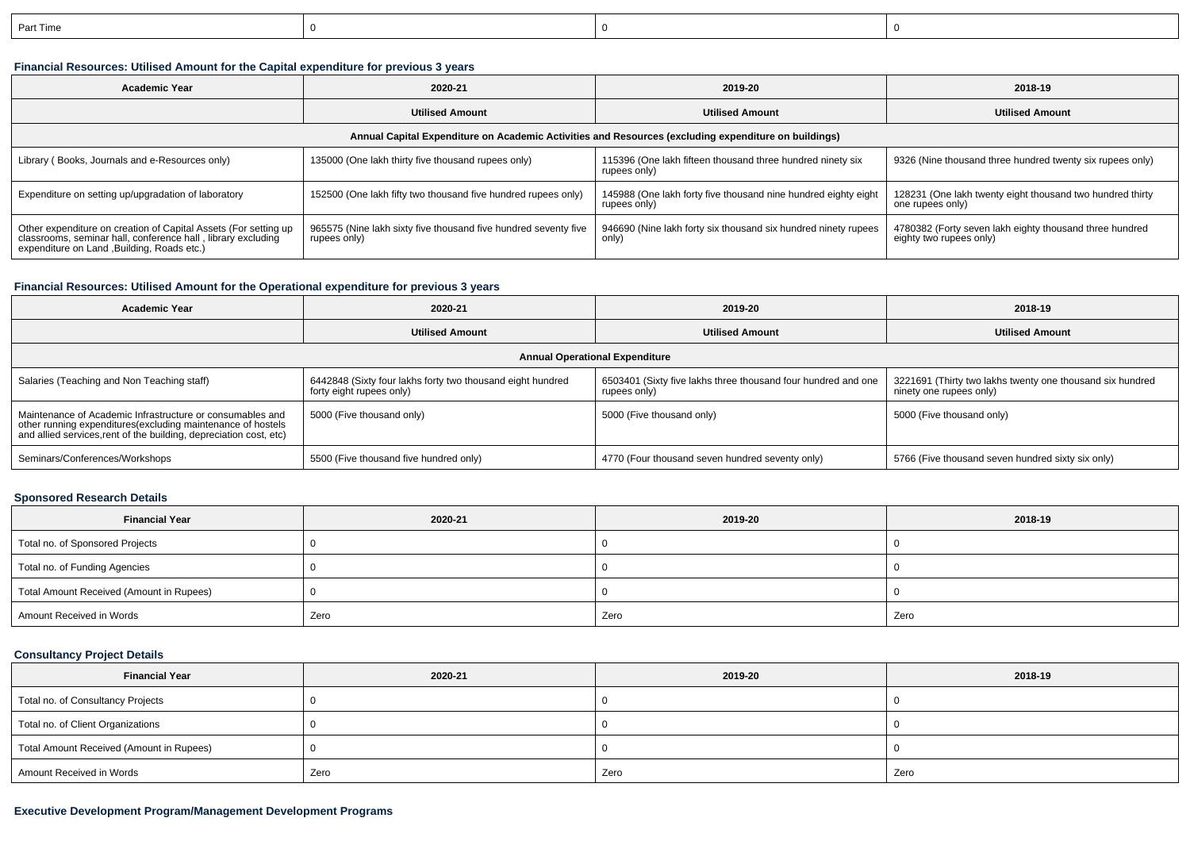| n-<br>: Time |  |  |
|--------------|--|--|
|              |  |  |

## **Financial Resources: Utilised Amount for the Capital expenditure for previous 3 years**

| 2020-21<br><b>Academic Year</b>                                                                                                                                                |                                                                                 | 2019-20                                                                        | 2018-19                                                                            |  |  |  |  |  |
|--------------------------------------------------------------------------------------------------------------------------------------------------------------------------------|---------------------------------------------------------------------------------|--------------------------------------------------------------------------------|------------------------------------------------------------------------------------|--|--|--|--|--|
|                                                                                                                                                                                | <b>Utilised Amount</b>                                                          | <b>Utilised Amount</b>                                                         | <b>Utilised Amount</b>                                                             |  |  |  |  |  |
| Annual Capital Expenditure on Academic Activities and Resources (excluding expenditure on buildings)                                                                           |                                                                                 |                                                                                |                                                                                    |  |  |  |  |  |
| Library (Books, Journals and e-Resources only)                                                                                                                                 | 135000 (One lakh thirty five thousand rupees only)                              | 115396 (One lakh fifteen thousand three hundred ninety six<br>rupees only)     | 9326 (Nine thousand three hundred twenty six rupees only)                          |  |  |  |  |  |
| Expenditure on setting up/upgradation of laboratory                                                                                                                            | 152500 (One lakh fifty two thousand five hundred rupees only)                   | 145988 (One lakh forty five thousand nine hundred eighty eight<br>rupees only) | 128231 (One lakh twenty eight thousand two hundred thirty<br>one rupees only)      |  |  |  |  |  |
| Other expenditure on creation of Capital Assets (For setting up<br>classrooms, seminar hall, conference hall, library excluding<br>expenditure on Land , Building, Roads etc.) | 965575 (Nine lakh sixty five thousand five hundred seventy five<br>rupees only) | 946690 (Nine lakh forty six thousand six hundred ninety rupees<br>only)        | 4780382 (Forty seven lakh eighty thousand three hundred<br>eighty two rupees only) |  |  |  |  |  |

### **Financial Resources: Utilised Amount for the Operational expenditure for previous 3 years**

| <b>Academic Year</b>                                                                                                                                                                            | 2020-21                                                                                | 2019-20                                                                       | 2018-19                                                                              |  |  |  |  |  |
|-------------------------------------------------------------------------------------------------------------------------------------------------------------------------------------------------|----------------------------------------------------------------------------------------|-------------------------------------------------------------------------------|--------------------------------------------------------------------------------------|--|--|--|--|--|
|                                                                                                                                                                                                 | <b>Utilised Amount</b>                                                                 | <b>Utilised Amount</b>                                                        | <b>Utilised Amount</b>                                                               |  |  |  |  |  |
| <b>Annual Operational Expenditure</b>                                                                                                                                                           |                                                                                        |                                                                               |                                                                                      |  |  |  |  |  |
| Salaries (Teaching and Non Teaching staff)                                                                                                                                                      | 6442848 (Sixty four lakhs forty two thousand eight hundred<br>forty eight rupees only) | 6503401 (Sixty five lakhs three thousand four hundred and one<br>rupees only) | 3221691 (Thirty two lakhs twenty one thousand six hundred<br>ninety one rupees only) |  |  |  |  |  |
| Maintenance of Academic Infrastructure or consumables and<br>other running expenditures (excluding maintenance of hostels<br>and allied services, rent of the building, depreciation cost, etc) | 5000 (Five thousand only)                                                              | 5000 (Five thousand only)                                                     | 5000 (Five thousand only)                                                            |  |  |  |  |  |
| Seminars/Conferences/Workshops                                                                                                                                                                  | 5500 (Five thousand five hundred only)                                                 | 4770 (Four thousand seven hundred seventy only)                               | 5766 (Five thousand seven hundred sixty six only)                                    |  |  |  |  |  |

## **Sponsored Research Details**

| <b>Financial Year</b>                    | 2020-21 | 2019-20 | 2018-19 |
|------------------------------------------|---------|---------|---------|
| Total no. of Sponsored Projects          |         |         |         |
| Total no. of Funding Agencies            |         |         |         |
| Total Amount Received (Amount in Rupees) |         |         |         |
| Amount Received in Words                 | Zero    | Zero    | Zero    |

### **Consultancy Project Details**

| <b>Financial Year</b>                    | 2020-21 | 2019-20 | 2018-19 |
|------------------------------------------|---------|---------|---------|
| Total no. of Consultancy Projects        |         |         |         |
| Total no. of Client Organizations        |         |         |         |
| Total Amount Received (Amount in Rupees) |         |         |         |
| Amount Received in Words                 | Zero    | Zero    | Zero    |

### **Executive Development Program/Management Development Programs**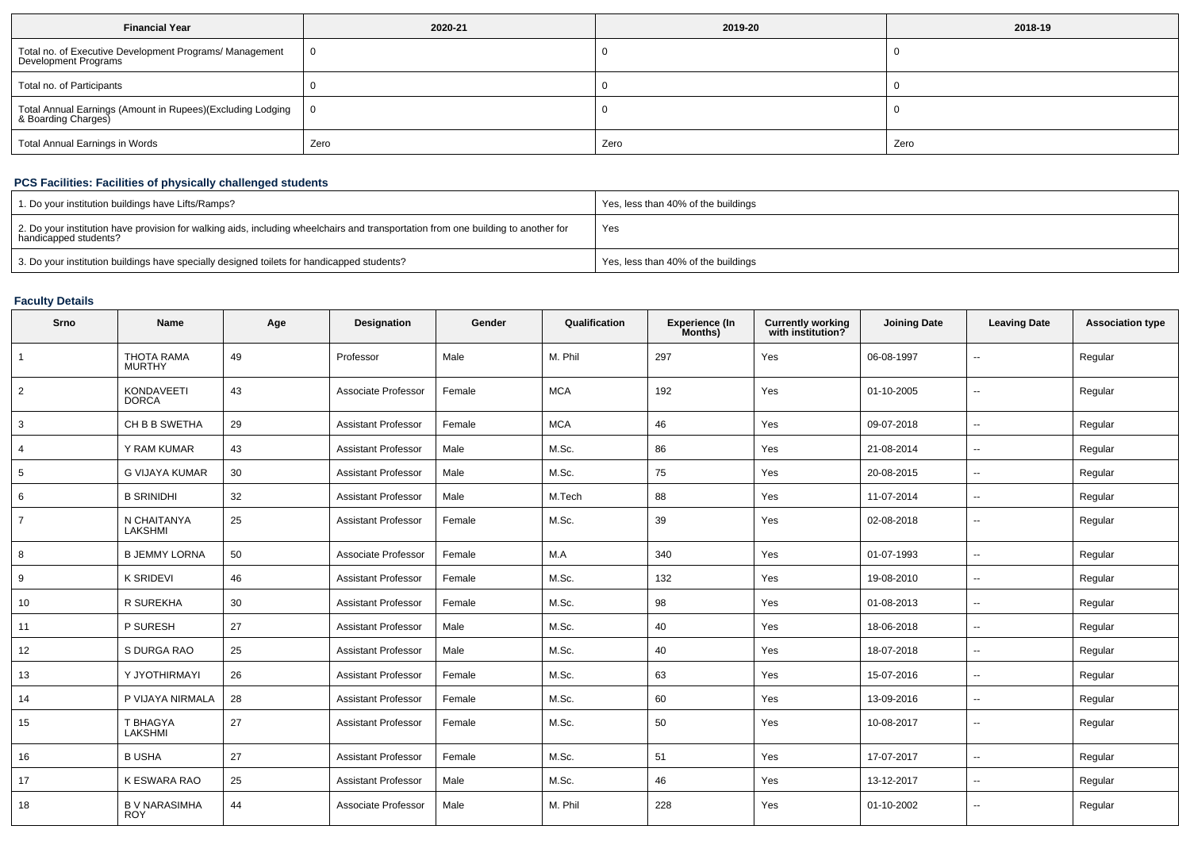| <b>Financial Year</b>                                                             | 2020-21 | 2019-20 | 2018-19 |  |
|-----------------------------------------------------------------------------------|---------|---------|---------|--|
| Total no. of Executive Development Programs/ Management<br>Development Programs   |         |         |         |  |
| Total no. of Participants                                                         |         |         |         |  |
| Total Annual Earnings (Amount in Rupees)(Excluding Lodging<br>& Boarding Charges) |         |         |         |  |
| <b>Total Annual Earnings in Words</b>                                             | Zero    | Zero    | Zero    |  |

## **PCS Facilities: Facilities of physically challenged students**

| 1. Do your institution buildings have Lifts/Ramps?                                                                                                         | Yes, less than 40% of the buildings |
|------------------------------------------------------------------------------------------------------------------------------------------------------------|-------------------------------------|
| 2. Do your institution have provision for walking aids, including wheelchairs and transportation from one building to another for<br>handicapped students? | Yes                                 |
| 3. Do your institution buildings have specially designed toilets for handicapped students?                                                                 | Yes, less than 40% of the buildings |

## **Faculty Details**

| Srno           | <b>Name</b>                        | Age | Designation                | Gender | Qualification | <b>Experience (In</b><br>Months) | <b>Currently working</b><br>with institution? | <b>Joining Date</b> | <b>Leaving Date</b>      | <b>Association type</b> |
|----------------|------------------------------------|-----|----------------------------|--------|---------------|----------------------------------|-----------------------------------------------|---------------------|--------------------------|-------------------------|
| $\overline{1}$ | <b>THOTA RAMA</b><br><b>MURTHY</b> | 49  | Professor                  | Male   | M. Phil       | 297                              | Yes                                           | 06-08-1997          | $\overline{a}$           | Regular                 |
| $\overline{2}$ | <b>KONDAVEETI</b><br><b>DORCA</b>  | 43  | Associate Professor        | Female | <b>MCA</b>    | 192                              | Yes                                           | 01-10-2005          | $\overline{\phantom{a}}$ | Regular                 |
| 3              | CH B B SWETHA                      | 29  | <b>Assistant Professor</b> | Female | <b>MCA</b>    | 46                               | Yes                                           | 09-07-2018          | $\overline{\phantom{a}}$ | Regular                 |
| $\overline{4}$ | Y RAM KUMAR                        | 43  | <b>Assistant Professor</b> | Male   | M.Sc.         | 86                               | Yes                                           | 21-08-2014          | $\overline{\phantom{a}}$ | Regular                 |
| 5              | <b>G VIJAYA KUMAR</b>              | 30  | <b>Assistant Professor</b> | Male   | M.Sc.         | 75                               | Yes                                           | 20-08-2015          | $\mathbf{u}$             | Regular                 |
| 6              | <b>B SRINIDHI</b>                  | 32  | <b>Assistant Professor</b> | Male   | M.Tech        | 88                               | Yes                                           | 11-07-2014          | $\overline{\phantom{a}}$ | Regular                 |
| $\overline{7}$ | N CHAITANYA<br>LAKSHMI             | 25  | <b>Assistant Professor</b> | Female | M.Sc.         | 39                               | Yes                                           | 02-08-2018          | $\sim$                   | Regular                 |
| 8              | <b>B JEMMY LORNA</b>               | 50  | Associate Professor        | Female | M.A           | 340                              | Yes                                           | 01-07-1993          | $\sim$                   | Regular                 |
| 9              | <b>K SRIDEVI</b>                   | 46  | <b>Assistant Professor</b> | Female | M.Sc.         | 132                              | Yes                                           | 19-08-2010          | $\sim$                   | Regular                 |
| 10             | R SUREKHA                          | 30  | <b>Assistant Professor</b> | Female | M.Sc.         | 98                               | Yes                                           | 01-08-2013          | $\overline{\phantom{a}}$ | Regular                 |
| 11             | P SURESH                           | 27  | <b>Assistant Professor</b> | Male   | M.Sc.         | 40                               | Yes                                           | 18-06-2018          | $\overline{\phantom{a}}$ | Regular                 |
| 12             | S DURGA RAO                        | 25  | <b>Assistant Professor</b> | Male   | M.Sc.         | 40                               | Yes                                           | 18-07-2018          | $\mathbf{u}$             | Regular                 |
| 13             | Y JYOTHIRMAYI                      | 26  | <b>Assistant Professor</b> | Female | M.Sc.         | 63                               | Yes                                           | 15-07-2016          | $\sim$                   | Regular                 |
| 14             | P VIJAYA NIRMALA                   | 28  | <b>Assistant Professor</b> | Female | M.Sc.         | 60                               | Yes                                           | 13-09-2016          | $\overline{\phantom{a}}$ | Regular                 |
| 15             | T BHAGYA<br>LAKSHMI                | 27  | <b>Assistant Professor</b> | Female | M.Sc.         | 50                               | Yes                                           | 10-08-2017          | $-$                      | Regular                 |
| 16             | <b>B USHA</b>                      | 27  | <b>Assistant Professor</b> | Female | M.Sc.         | 51                               | Yes                                           | 17-07-2017          | $\overline{\phantom{a}}$ | Regular                 |
| 17             | K ESWARA RAO                       | 25  | <b>Assistant Professor</b> | Male   | M.Sc.         | 46                               | Yes                                           | 13-12-2017          | $\overline{\phantom{a}}$ | Regular                 |
| 18             | <b>B V NARASIMHA</b><br><b>ROY</b> | 44  | Associate Professor        | Male   | M. Phil       | 228                              | Yes                                           | 01-10-2002          | $-$                      | Regular                 |